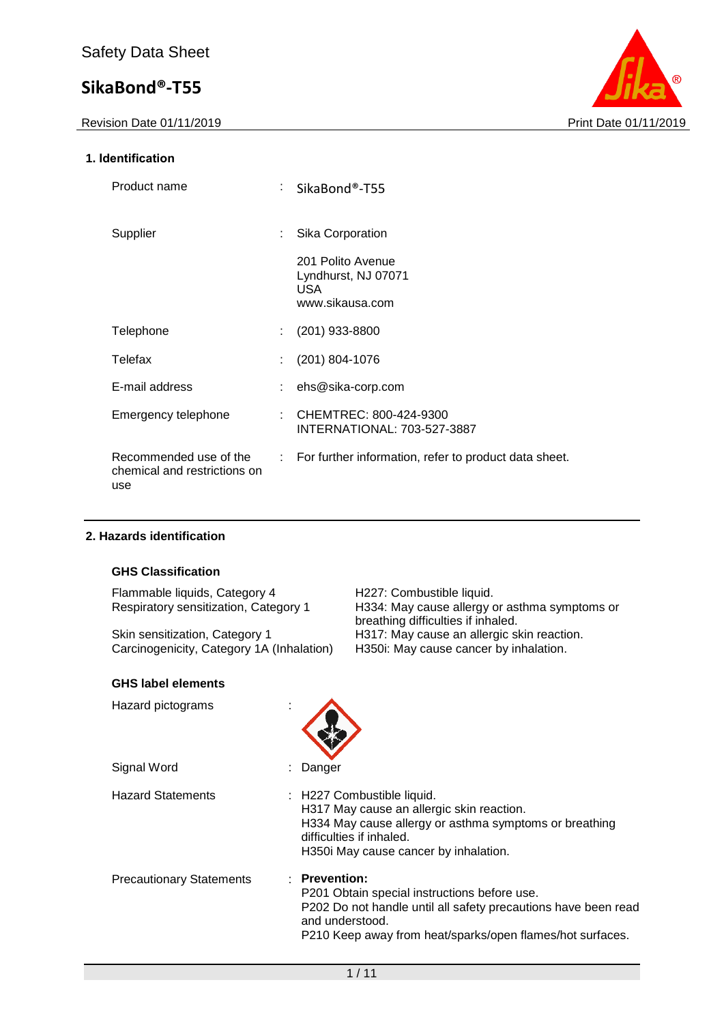

### **1. Identification**

| Product name                                                  | SikaBond®-T55                                                             |
|---------------------------------------------------------------|---------------------------------------------------------------------------|
| Supplier                                                      | Sika Corporation                                                          |
|                                                               | 201 Polito Avenue<br>Lyndhurst, NJ 07071<br><b>USA</b><br>www.sikausa.com |
| Telephone                                                     | $(201)$ 933-8800                                                          |
| Telefax                                                       | (201) 804-1076                                                            |
| E-mail address                                                | ehs@sika-corp.com                                                         |
| Emergency telephone                                           | : CHEMTREC: $800-424-9300$<br>INTERNATIONAL: 703-527-3887                 |
| Recommended use of the<br>chemical and restrictions on<br>use | : For further information, refer to product data sheet.                   |

### **2. Hazards identification**

### **GHS Classification**

Flammable liquids, Category 4 H227: Combustible liquid.<br>Respiratory sensitization, Category 1 H334: May cause allergy of

Skin sensitization, Category 1 H317: May cause an allergic skin reaction.<br>Carcinogenicity, Category 1A (Inhalation) H350i: May cause cancer by inhalation. Carcinogenicity, Category 1A (Inhalation)

#### **GHS label elements**

| Hazard pictograms               |                                                                                                                                                                                                                 |
|---------------------------------|-----------------------------------------------------------------------------------------------------------------------------------------------------------------------------------------------------------------|
| Signal Word                     | Danger                                                                                                                                                                                                          |
| <b>Hazard Statements</b>        | : H227 Combustible liquid.<br>H317 May cause an allergic skin reaction.<br>H334 May cause allergy or asthma symptoms or breathing<br>difficulties if inhaled.<br>H350i May cause cancer by inhalation.          |
| <b>Precautionary Statements</b> | : Prevention:<br>P201 Obtain special instructions before use.<br>P202 Do not handle until all safety precautions have been read<br>and understood.<br>P210 Keep away from heat/sparks/open flames/hot surfaces. |

H334: May cause allergy or asthma symptoms or

breathing difficulties if inhaled.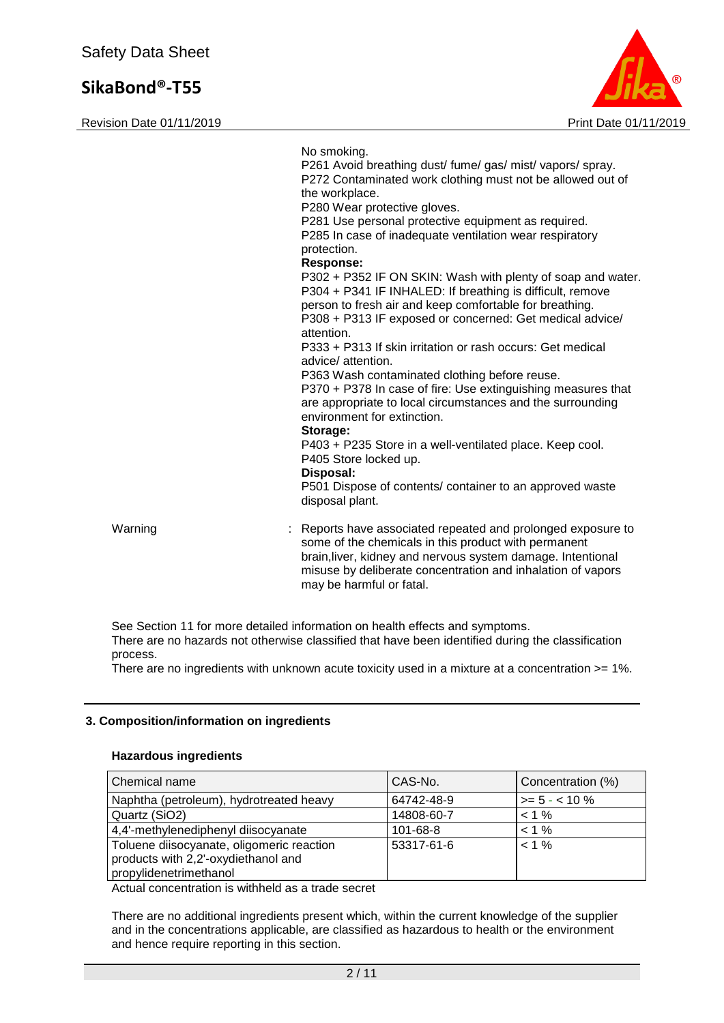Revision Date 01/11/2019 **Print Date 01/11/2019** Print Date 01/11/2019



No smoking. P261 Avoid breathing dust/ fume/ gas/ mist/ vapors/ spray. P272 Contaminated work clothing must not be allowed out of the workplace. P280 Wear protective gloves. P281 Use personal protective equipment as required. P285 In case of inadequate ventilation wear respiratory protection. **Response:**  P302 + P352 IF ON SKIN: Wash with plenty of soap and water. P304 + P341 IF INHALED: If breathing is difficult, remove person to fresh air and keep comfortable for breathing. P308 + P313 IF exposed or concerned: Get medical advice/ attention. P333 + P313 If skin irritation or rash occurs: Get medical advice/ attention. P363 Wash contaminated clothing before reuse. P370 + P378 In case of fire: Use extinguishing measures that are appropriate to local circumstances and the surrounding environment for extinction. **Storage:**  P403 + P235 Store in a well-ventilated place. Keep cool. P405 Store locked up. **Disposal:**  P501 Dispose of contents/ container to an approved waste disposal plant. Warning **Example 20 Starting 1996** : Reports have associated repeated and prolonged exposure to some of the chemicals in this product with permanent brain,liver, kidney and nervous system damage. Intentional misuse by deliberate concentration and inhalation of vapors may be harmful or fatal.

See Section 11 for more detailed information on health effects and symptoms. There are no hazards not otherwise classified that have been identified during the classification process.

There are no ingredients with unknown acute toxicity used in a mixture at a concentration  $>= 1\%$ .

### **3. Composition/information on ingredients**

#### **Hazardous ingredients**

| Chemical name                                                                                              | CAS-No.    | Concentration (%) |
|------------------------------------------------------------------------------------------------------------|------------|-------------------|
| Naphtha (petroleum), hydrotreated heavy                                                                    | 64742-48-9 | $>= 5 - < 10 \%$  |
| Quartz (SiO2)                                                                                              | 14808-60-7 | $< 1 \%$          |
| 4,4'-methylenediphenyl diisocyanate                                                                        | 101-68-8   | $< 1 \%$          |
| Toluene diisocyanate, oligomeric reaction<br>products with 2,2'-oxydiethanol and<br>propylidenetrimethanol | 53317-61-6 | $< 1 \%$          |

Actual concentration is withheld as a trade secret

There are no additional ingredients present which, within the current knowledge of the supplier and in the concentrations applicable, are classified as hazardous to health or the environment and hence require reporting in this section.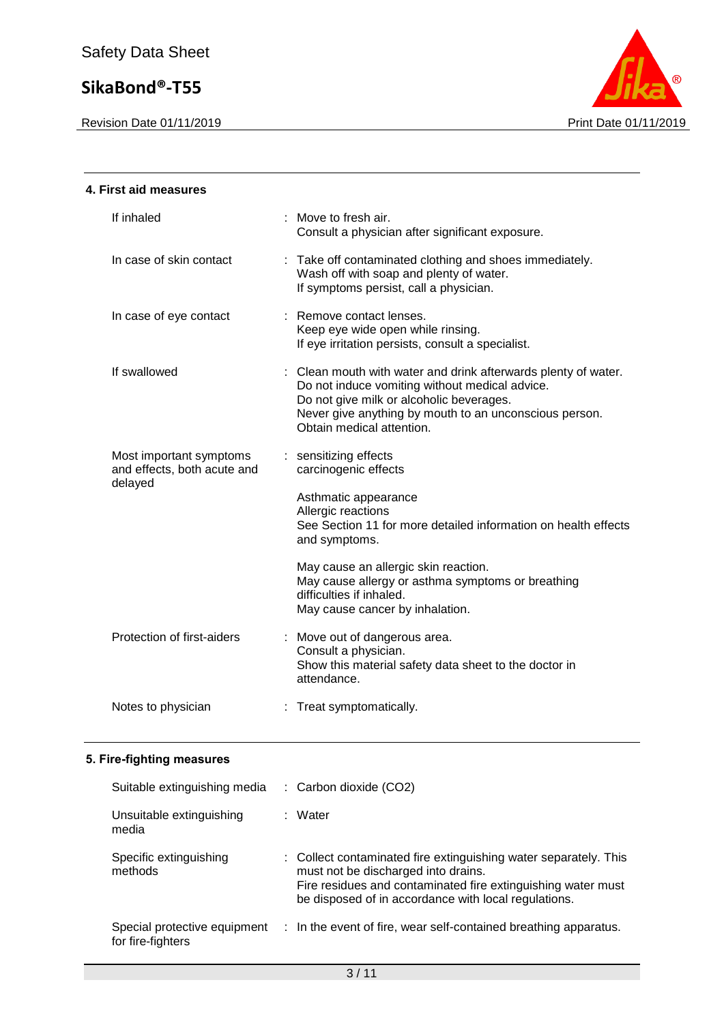Revision Date 01/11/2019 **Print Date 01/11/2019** 



| 4. First aid measures                                             |                                                                                                                                                                                                                                                     |
|-------------------------------------------------------------------|-----------------------------------------------------------------------------------------------------------------------------------------------------------------------------------------------------------------------------------------------------|
| If inhaled                                                        | : Move to fresh air.<br>Consult a physician after significant exposure.                                                                                                                                                                             |
| In case of skin contact                                           | : Take off contaminated clothing and shoes immediately.<br>Wash off with soap and plenty of water.<br>If symptoms persist, call a physician.                                                                                                        |
| In case of eye contact                                            | : Remove contact lenses.<br>Keep eye wide open while rinsing.<br>If eye irritation persists, consult a specialist.                                                                                                                                  |
| If swallowed                                                      | : Clean mouth with water and drink afterwards plenty of water.<br>Do not induce vomiting without medical advice.<br>Do not give milk or alcoholic beverages.<br>Never give anything by mouth to an unconscious person.<br>Obtain medical attention. |
| Most important symptoms<br>and effects, both acute and<br>delayed | : sensitizing effects<br>carcinogenic effects                                                                                                                                                                                                       |
|                                                                   | Asthmatic appearance<br>Allergic reactions<br>See Section 11 for more detailed information on health effects<br>and symptoms.                                                                                                                       |
|                                                                   | May cause an allergic skin reaction.<br>May cause allergy or asthma symptoms or breathing<br>difficulties if inhaled.<br>May cause cancer by inhalation.                                                                                            |
| Protection of first-aiders                                        | : Move out of dangerous area.<br>Consult a physician.<br>Show this material safety data sheet to the doctor in<br>attendance.                                                                                                                       |
| Notes to physician                                                | : Treat symptomatically.                                                                                                                                                                                                                            |
|                                                                   |                                                                                                                                                                                                                                                     |

## **5. Fire-fighting measures**

| Suitable extinguishing media                      |   | : Carbon dioxide (CO2)                                                                                                                                                                                                          |
|---------------------------------------------------|---|---------------------------------------------------------------------------------------------------------------------------------------------------------------------------------------------------------------------------------|
| Unsuitable extinguishing<br>media                 | ÷ | Water                                                                                                                                                                                                                           |
| Specific extinguishing<br>methods                 |   | : Collect contaminated fire extinguishing water separately. This<br>must not be discharged into drains.<br>Fire residues and contaminated fire extinguishing water must<br>be disposed of in accordance with local regulations. |
| Special protective equipment<br>for fire-fighters |   | : In the event of fire, wear self-contained breathing apparatus.                                                                                                                                                                |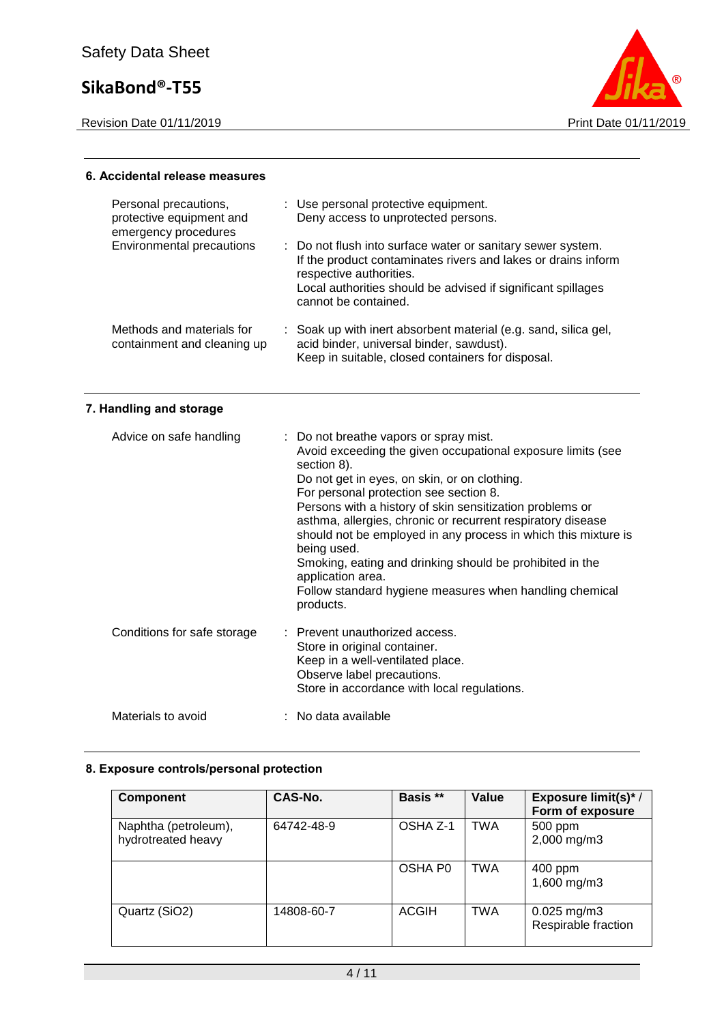Revision Date 01/11/2019 **Print Date 01/11/2019** 



### **6. Accidental release measures**

| Personal precautions,<br>protective equipment and<br>emergency procedures | : Use personal protective equipment.<br>Deny access to unprotected persons.                                                                                                                                                                     |
|---------------------------------------------------------------------------|-------------------------------------------------------------------------------------------------------------------------------------------------------------------------------------------------------------------------------------------------|
| <b>Environmental precautions</b>                                          | : Do not flush into surface water or sanitary sewer system.<br>If the product contaminates rivers and lakes or drains inform<br>respective authorities.<br>Local authorities should be advised if significant spillages<br>cannot be contained. |
| Methods and materials for<br>containment and cleaning up                  | : Soak up with inert absorbent material (e.g. sand, silica gel,<br>acid binder, universal binder, sawdust).<br>Keep in suitable, closed containers for disposal.                                                                                |

## **7. Handling and storage**

| Advice on safe handling     | : Do not breathe vapors or spray mist.<br>Avoid exceeding the given occupational exposure limits (see<br>section 8).<br>Do not get in eyes, on skin, or on clothing.<br>For personal protection see section 8.<br>Persons with a history of skin sensitization problems or<br>asthma, allergies, chronic or recurrent respiratory disease<br>should not be employed in any process in which this mixture is<br>being used.<br>Smoking, eating and drinking should be prohibited in the<br>application area.<br>Follow standard hygiene measures when handling chemical<br>products. |
|-----------------------------|-------------------------------------------------------------------------------------------------------------------------------------------------------------------------------------------------------------------------------------------------------------------------------------------------------------------------------------------------------------------------------------------------------------------------------------------------------------------------------------------------------------------------------------------------------------------------------------|
| Conditions for safe storage | : Prevent unauthorized access.<br>Store in original container.<br>Keep in a well-ventilated place.<br>Observe label precautions.<br>Store in accordance with local regulations.                                                                                                                                                                                                                                                                                                                                                                                                     |
| Materials to avoid          | : No data available                                                                                                                                                                                                                                                                                                                                                                                                                                                                                                                                                                 |

### **8. Exposure controls/personal protection**

| Component                                  | CAS-No.    | Basis **     | Value      | Exposure limit(s)*/<br>Form of exposure |
|--------------------------------------------|------------|--------------|------------|-----------------------------------------|
| Naphtha (petroleum),<br>hydrotreated heavy | 64742-48-9 | OSHA Z-1     | <b>TWA</b> | 500 ppm<br>2,000 mg/m3                  |
|                                            |            | OSHA P0      | <b>TWA</b> | 400 ppm<br>1,600 mg/m3                  |
| Quartz (SiO2)                              | 14808-60-7 | <b>ACGIH</b> | <b>TWA</b> | $0.025$ mg/m3<br>Respirable fraction    |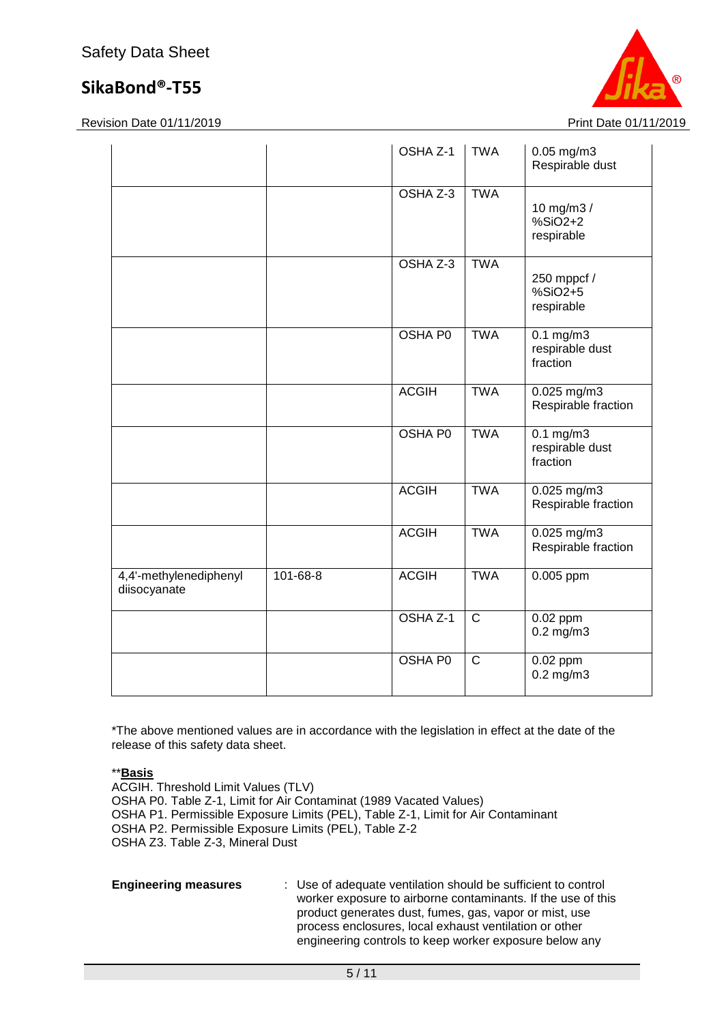Revision Date 01/11/2019 **Print Date 01/11/2019** Print Date 01/11/2019



|                                        |                | OSHA Z-1       | <b>TWA</b>     | $0.05$ mg/m3<br>Respirable dust                   |
|----------------------------------------|----------------|----------------|----------------|---------------------------------------------------|
|                                        |                | OSHA Z-3       | <b>TWA</b>     | 10 mg/m3 /<br>$%SiO2+2$<br>respirable             |
|                                        |                | OSHA Z-3       | <b>TWA</b>     | 250 mppcf /<br>$%SiO2+5$<br>respirable            |
|                                        |                | <b>OSHA PO</b> | <b>TWA</b>     | $0.1 \text{ mg/m}$<br>respirable dust<br>fraction |
|                                        |                | <b>ACGIH</b>   | <b>TWA</b>     | $0.025$ mg/m3<br>Respirable fraction              |
|                                        |                | <b>OSHA PO</b> | <b>TWA</b>     | $0.1$ mg/m3<br>respirable dust<br>fraction        |
|                                        |                | <b>ACGIH</b>   | <b>TWA</b>     | 0.025 mg/m3<br>Respirable fraction                |
|                                        |                | <b>ACGIH</b>   | <b>TWA</b>     | $0.025$ mg/m3<br>Respirable fraction              |
| 4,4'-methylenediphenyl<br>diisocyanate | $101 - 68 - 8$ | <b>ACGIH</b>   | <b>TWA</b>     | $0.005$ ppm                                       |
|                                        |                | OSHA Z-1       | $\overline{C}$ | $0.02$ ppm<br>$0.2$ mg/m $3$                      |
|                                        |                | <b>OSHA P0</b> | $\overline{C}$ | $0.02$ ppm<br>$0.2$ mg/m $3$                      |

\*The above mentioned values are in accordance with the legislation in effect at the date of the release of this safety data sheet.

\*\***Basis**

ACGIH. Threshold Limit Values (TLV) OSHA P0. Table Z-1, Limit for Air Contaminat (1989 Vacated Values) OSHA P1. Permissible Exposure Limits (PEL), Table Z-1, Limit for Air Contaminant OSHA P2. Permissible Exposure Limits (PEL), Table Z-2 OSHA Z3. Table Z-3, Mineral Dust

**Engineering measures** : Use of adequate ventilation should be sufficient to control worker exposure to airborne contaminants. If the use of this product generates dust, fumes, gas, vapor or mist, use process enclosures, local exhaust ventilation or other engineering controls to keep worker exposure below any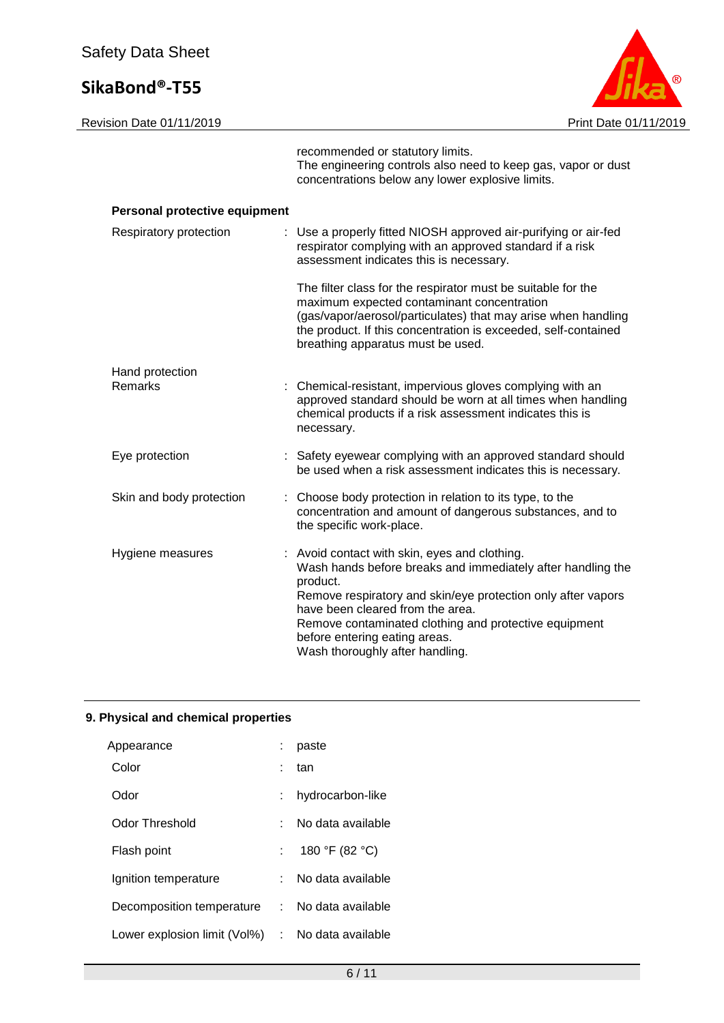

|                                | recommended or statutory limits.<br>The engineering controls also need to keep gas, vapor or dust<br>concentrations below any lower explosive limits.                                                                                                                                                                                                     |
|--------------------------------|-----------------------------------------------------------------------------------------------------------------------------------------------------------------------------------------------------------------------------------------------------------------------------------------------------------------------------------------------------------|
| Personal protective equipment  |                                                                                                                                                                                                                                                                                                                                                           |
| Respiratory protection         | : Use a properly fitted NIOSH approved air-purifying or air-fed<br>respirator complying with an approved standard if a risk<br>assessment indicates this is necessary.                                                                                                                                                                                    |
|                                | The filter class for the respirator must be suitable for the<br>maximum expected contaminant concentration<br>(gas/vapor/aerosol/particulates) that may arise when handling<br>the product. If this concentration is exceeded, self-contained<br>breathing apparatus must be used.                                                                        |
| Hand protection<br>Remarks     | Chemical-resistant, impervious gloves complying with an<br>approved standard should be worn at all times when handling<br>chemical products if a risk assessment indicates this is<br>necessary.                                                                                                                                                          |
| Eye protection                 | : Safety eyewear complying with an approved standard should<br>be used when a risk assessment indicates this is necessary.                                                                                                                                                                                                                                |
| Skin and body protection<br>t. | Choose body protection in relation to its type, to the<br>concentration and amount of dangerous substances, and to<br>the specific work-place.                                                                                                                                                                                                            |
| Hygiene measures               | : Avoid contact with skin, eyes and clothing.<br>Wash hands before breaks and immediately after handling the<br>product.<br>Remove respiratory and skin/eye protection only after vapors<br>have been cleared from the area.<br>Remove contaminated clothing and protective equipment<br>before entering eating areas.<br>Wash thoroughly after handling. |

## **9. Physical and chemical properties**

| Appearance                                       | paste             |
|--------------------------------------------------|-------------------|
| Color                                            | tan               |
| Odor                                             | hydrocarbon-like  |
| Odor Threshold                                   | No data available |
| Flash point                                      | 180 °F (82 °C)    |
| Ignition temperature                             | No data available |
| Decomposition temperature :                      | No data available |
| Lower explosion limit (Vol%) : No data available |                   |
|                                                  |                   |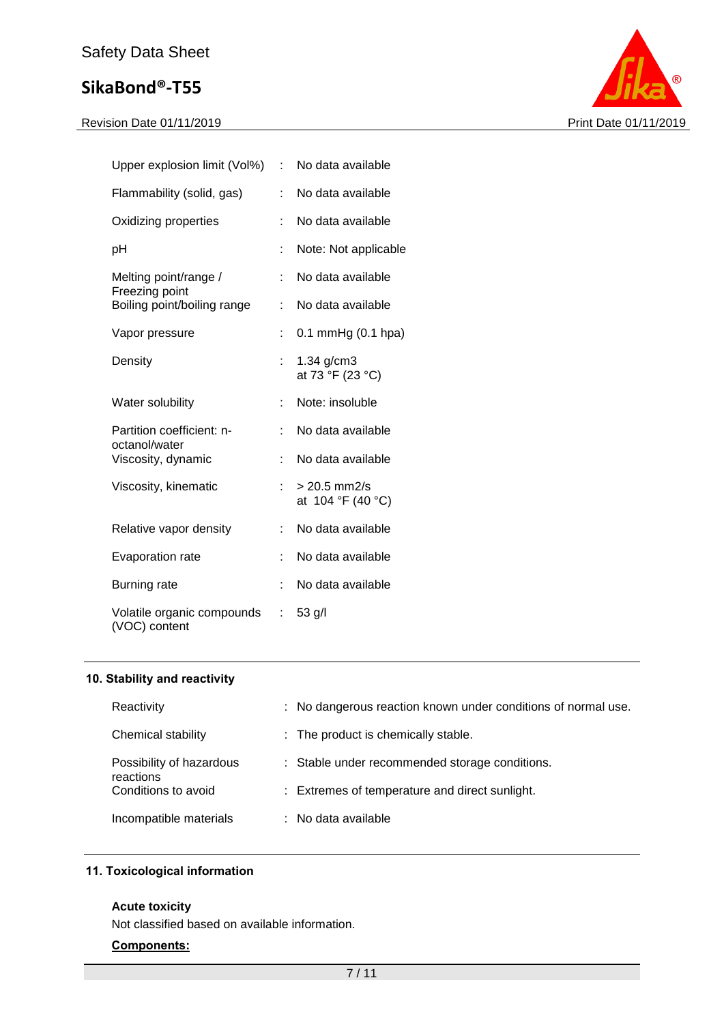

| Upper explosion limit (Vol%)                | t. | No data available                   |
|---------------------------------------------|----|-------------------------------------|
| Flammability (solid, gas)                   |    | No data available                   |
| Oxidizing properties                        |    | No data available                   |
| рH                                          | t  | Note: Not applicable                |
| Melting point/range /<br>Freezing point     | t  | No data available                   |
| Boiling point/boiling range                 | ÷. | No data available                   |
| Vapor pressure                              |    | $0.1$ mmHg $(0.1$ hpa)              |
| Density                                     |    | $1.34$ g/cm $3$<br>at 73 °F (23 °C) |
| Water solubility                            | t. | Note: insoluble                     |
| Partition coefficient: n-<br>octanol/water  |    | No data available                   |
| Viscosity, dynamic                          | t. | No data available                   |
| Viscosity, kinematic                        |    | $> 20.5$ mm2/s<br>at 104 °F (40 °C) |
| Relative vapor density                      | ÷. | No data available                   |
| Evaporation rate                            |    | No data available                   |
| Burning rate                                |    | No data available                   |
| Volatile organic compounds<br>(VOC) content | t. | 53 g/l                              |

### **10. Stability and reactivity**

| Reactivity                            | : No dangerous reaction known under conditions of normal use. |
|---------------------------------------|---------------------------------------------------------------|
| Chemical stability                    | : The product is chemically stable.                           |
| Possibility of hazardous<br>reactions | : Stable under recommended storage conditions.                |
| Conditions to avoid                   | : Extremes of temperature and direct sunlight.                |
| Incompatible materials                | : No data available                                           |

## **11. Toxicological information**

#### **Acute toxicity**

Not classified based on available information.

#### **Components:**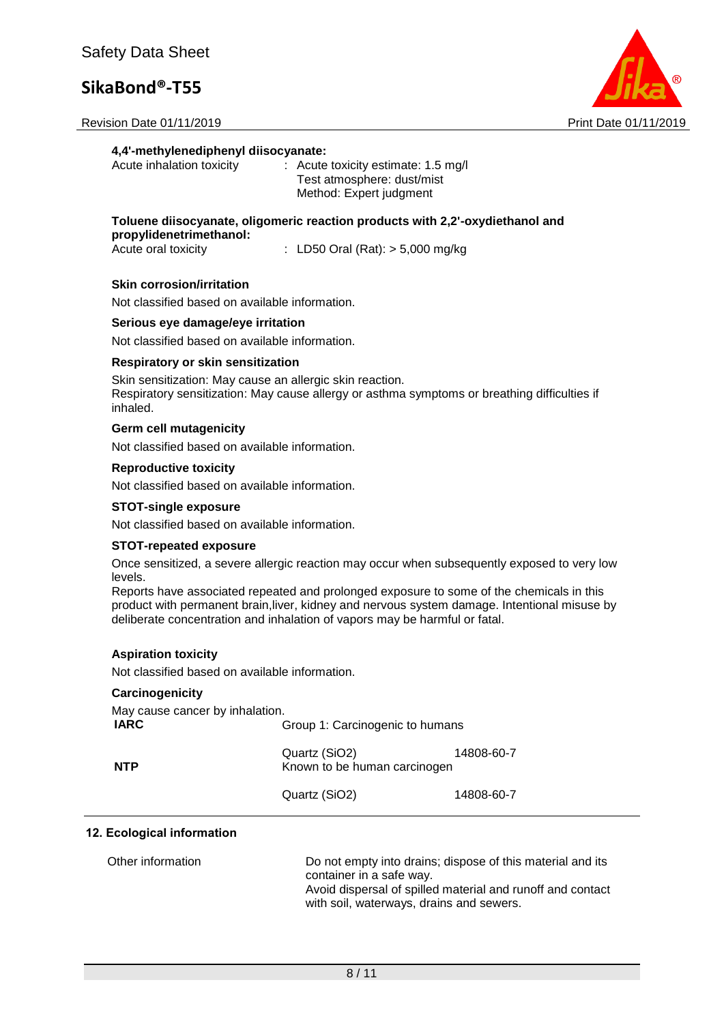Revision Date 01/11/2019 **Print Date 01/11/2019** Print Date 01/11/2019



#### **4,4'-methylenediphenyl diisocyanate:**

| $\therefore$ Acute toxicity estimate: 1.5 mg/l |
|------------------------------------------------|
|                                                |
|                                                |
|                                                |

**Toluene diisocyanate, oligomeric reaction products with 2,2'-oxydiethanol and propylidenetrimethanol:**

 $\therefore$  LD50 Oral (Rat):  $>$  5,000 mg/kg

#### **Skin corrosion/irritation**

Not classified based on available information.

#### **Serious eye damage/eye irritation**

Not classified based on available information.

#### **Respiratory or skin sensitization**

Skin sensitization: May cause an allergic skin reaction. Respiratory sensitization: May cause allergy or asthma symptoms or breathing difficulties if inhaled.

#### **Germ cell mutagenicity**

Not classified based on available information.

#### **Reproductive toxicity**

Not classified based on available information.

#### **STOT-single exposure**

Not classified based on available information.

#### **STOT-repeated exposure**

Once sensitized, a severe allergic reaction may occur when subsequently exposed to very low levels.

Reports have associated repeated and prolonged exposure to some of the chemicals in this product with permanent brain,liver, kidney and nervous system damage. Intentional misuse by deliberate concentration and inhalation of vapors may be harmful or fatal.

#### **Aspiration toxicity**

Not classified based on available information.

#### **Carcinogenicity**

| May cause cancer by inhalation. |                                               |            |
|---------------------------------|-----------------------------------------------|------------|
| <b>IARC</b>                     | Group 1: Carcinogenic to humans               |            |
| <b>NTP</b>                      | Quartz (SiO2)<br>Known to be human carcinogen | 14808-60-7 |
|                                 | Quartz (SiO2)                                 | 14808-60-7 |

#### **12. Ecological information**

| Other information | Do not empty into drains; dispose of this material and its |
|-------------------|------------------------------------------------------------|
|                   | container in a safe way.                                   |
|                   | Avoid dispersal of spilled material and runoff and contact |
|                   | with soil, waterways, drains and sewers.                   |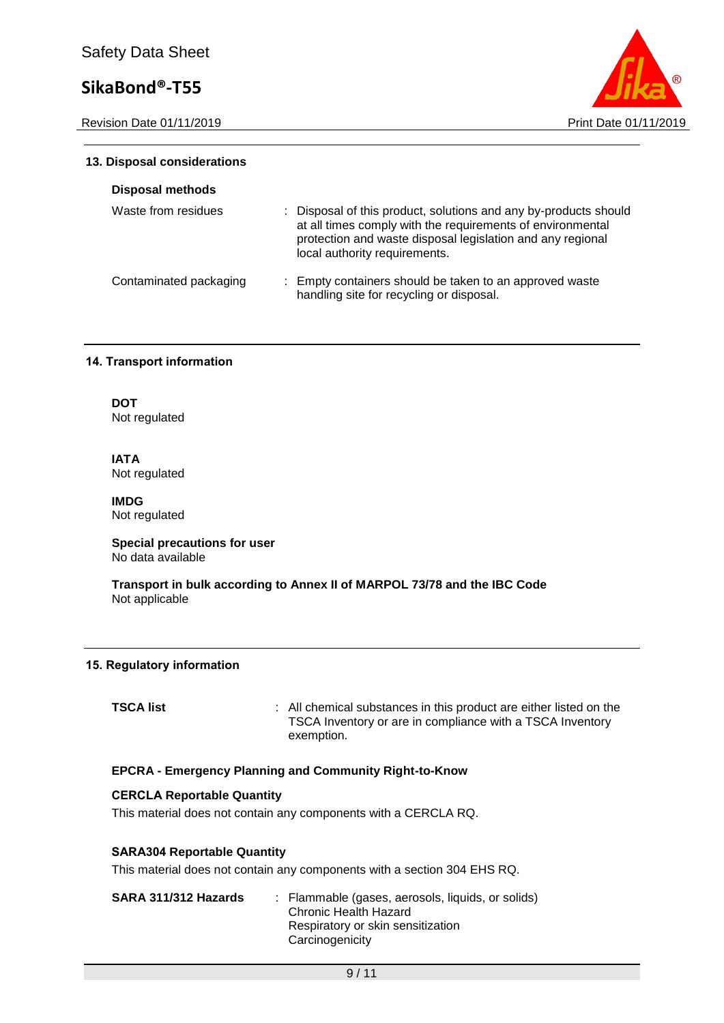Revision Date 01/11/2019 **Print Date 01/11/2019** Print Date 01/11/2019



### **13. Disposal considerations**

| <b>Disposal methods</b> |                                                                                                                                                                                                                               |
|-------------------------|-------------------------------------------------------------------------------------------------------------------------------------------------------------------------------------------------------------------------------|
| Waste from residues     | : Disposal of this product, solutions and any by-products should<br>at all times comply with the requirements of environmental<br>protection and waste disposal legislation and any regional<br>local authority requirements. |
| Contaminated packaging  | : Empty containers should be taken to an approved waste<br>handling site for recycling or disposal.                                                                                                                           |

#### **14. Transport information**

**DOT** Not regulated

**IATA** Not regulated

**IMDG** Not regulated

**Special precautions for user** No data available

**Transport in bulk according to Annex II of MARPOL 73/78 and the IBC Code** Not applicable

#### **15. Regulatory information**

**TSCA list** : All chemical substances in this product are either listed on the TSCA Inventory or are in compliance with a TSCA Inventory exemption.

#### **EPCRA - Emergency Planning and Community Right-to-Know**

### **CERCLA Reportable Quantity**

This material does not contain any components with a CERCLA RQ.

#### **SARA304 Reportable Quantity**

This material does not contain any components with a section 304 EHS RQ.

| SARA 311/312 Hazards | : Flammable (gases, aerosols, liquids, or solids)<br>Chronic Health Hazard<br>Respiratory or skin sensitization |
|----------------------|-----------------------------------------------------------------------------------------------------------------|
|                      | Carcinogenicity                                                                                                 |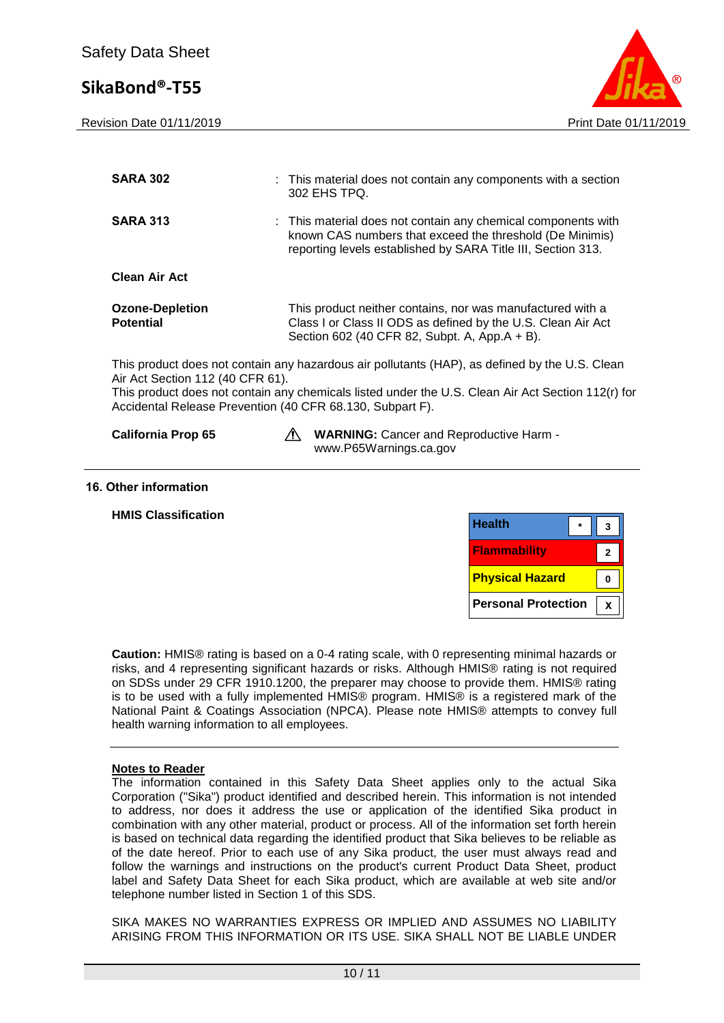Revision Date 01/11/2019 **Print Date 01/11/2019** Print Date 01/11/2019



| <b>SARA 302</b>                                                                               | : This material does not contain any components with a section<br>302 EHS TPQ.                                                                                                                       |
|-----------------------------------------------------------------------------------------------|------------------------------------------------------------------------------------------------------------------------------------------------------------------------------------------------------|
| <b>SARA 313</b>                                                                               | : This material does not contain any chemical components with<br>known CAS numbers that exceed the threshold (De Minimis)<br>reporting levels established by SARA Title III, Section 313.            |
| <b>Clean Air Act</b>                                                                          |                                                                                                                                                                                                      |
| <b>Ozone-Depletion</b><br><b>Potential</b>                                                    | This product neither contains, nor was manufactured with a<br>Class I or Class II ODS as defined by the U.S. Clean Air Act<br>Section 602 (40 CFR 82, Subpt. A, App.A + B).                          |
| Air Act Section 112 (40 CFR 61).<br>Accidental Release Prevention (40 CFR 68.130, Subpart F). | This product does not contain any hazardous air pollutants (HAP), as defined by the U.S. Clean<br>This product does not contain any chemicals listed under the U.S. Clean Air Act Section 112(r) for |
| <b>California Prop 65</b>                                                                     | <b>WARNING:</b> Cancer and Reproductive Harm -<br>www.P65Warnings.ca.gov                                                                                                                             |
|                                                                                               |                                                                                                                                                                                                      |

#### **16. Other information**

| <b>Health</b><br>$\star$<br>3       |  |
|-------------------------------------|--|
| <b>Flammability</b><br>$\mathbf{2}$ |  |
| <b>Physical Hazard</b><br>$\bf{0}$  |  |
| <b>Personal Protection</b><br>X     |  |

**Caution:** HMIS® rating is based on a 0-4 rating scale, with 0 representing minimal hazards or risks, and 4 representing significant hazards or risks. Although HMIS® rating is not required on SDSs under 29 CFR 1910.1200, the preparer may choose to provide them. HMIS® rating is to be used with a fully implemented HMIS® program. HMIS® is a registered mark of the National Paint & Coatings Association (NPCA). Please note HMIS® attempts to convey full health warning information to all employees.

### **Notes to Reader**

The information contained in this Safety Data Sheet applies only to the actual Sika Corporation ("Sika") product identified and described herein. This information is not intended to address, nor does it address the use or application of the identified Sika product in combination with any other material, product or process. All of the information set forth herein is based on technical data regarding the identified product that Sika believes to be reliable as of the date hereof. Prior to each use of any Sika product, the user must always read and follow the warnings and instructions on the product's current Product Data Sheet, product label and Safety Data Sheet for each Sika product, which are available at web site and/or telephone number listed in Section 1 of this SDS.

SIKA MAKES NO WARRANTIES EXPRESS OR IMPLIED AND ASSUMES NO LIABILITY ARISING FROM THIS INFORMATION OR ITS USE. SIKA SHALL NOT BE LIABLE UNDER